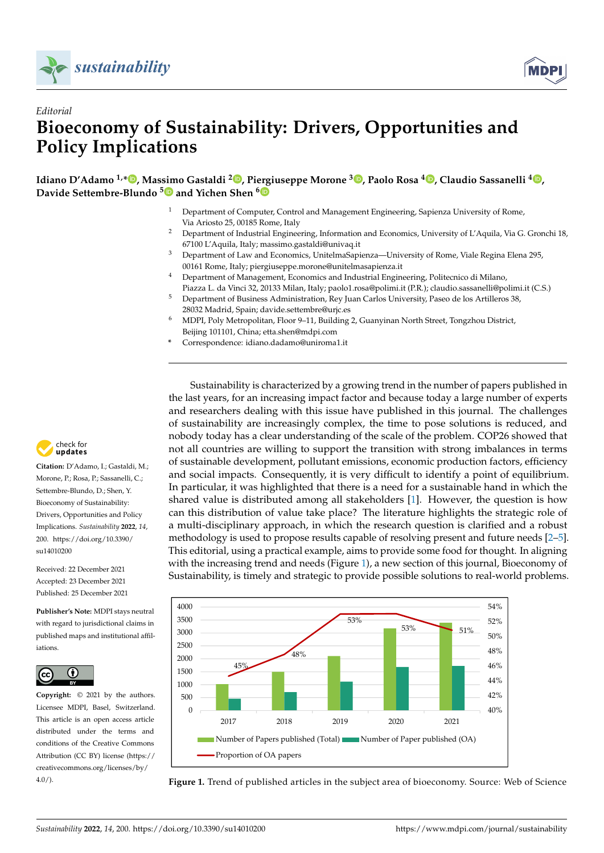



# *Editorial* **Bioeconomy of Sustainability: Drivers, Opportunities and Policy Implications**

**Idiano D'Adamo 1,[\\*](https://orcid.org/0000-0003-1861-8813) , Massimo Gastaldi <sup>2</sup> [,](https://orcid.org/0000-0002-0867-3352) Piergiuseppe Morone <sup>3</sup> [,](https://orcid.org/0000-0002-3240-7089) Paolo Rosa <sup>4</sup> [,](https://orcid.org/0000-0003-3957-707X) Claudio Sassanelli <sup>4</sup> [,](https://orcid.org/0000-0003-3603-9735) Davide Settembre-Blundo [5](https://orcid.org/0000-0003-2474-4648) and Yichen Shen [6](https://orcid.org/0000-0002-1858-0352)**

- <sup>1</sup> Department of Computer, Control and Management Engineering, Sapienza University of Rome, Via Ariosto 25, 00185 Rome, Italy
- <sup>2</sup> Department of Industrial Engineering, Information and Economics, University of L'Aquila, Via G. Gronchi 18, 67100 L'Aquila, Italy; massimo.gastaldi@univaq.it
- <sup>3</sup> Department of Law and Economics, UnitelmaSapienza—University of Rome, Viale Regina Elena 295, 00161 Rome, Italy; piergiuseppe.morone@unitelmasapienza.it
- <sup>4</sup> Department of Management, Economics and Industrial Engineering, Politecnico di Milano, Piazza L. da Vinci 32, 20133 Milan, Italy; paolo1.rosa@polimi.it (P.R.); claudio.sassanelli@polimi.it (C.S.)
- <sup>5</sup> Department of Business Administration, Rey Juan Carlos University, Paseo de los Artilleros 38, 28032 Madrid, Spain; davide.settembre@urjc.es
- <sup>6</sup> MDPI, Poly Metropolitan, Floor 9–11, Building 2, Guanyinan North Street, Tongzhou District, Beijing 101101, China; etta.shen@mdpi.com
- **\*** Correspondence: idiano.dadamo@uniroma1.it

Sustainability is characterized by a growing trend in the number of papers published in the last years, for an increasing impact factor and because today a large number of experts and researchers dealing with this issue have published in this journal. The challenges of sustainability are increasingly complex, the time to pose solutions is reduced, and nobody today has a clear understanding of the scale of the problem. COP26 showed that not all countries are willing to support the transition with strong imbalances in terms of sustainable development, pollutant emissions, economic production factors, efficiency and social impacts. Consequently, it is very difficult to identify a point of equilibrium. In particular, it was highlighted that there is a need for a sustainable hand in which the shared value is distributed among all stakeholders [\[1\]](#page-5-0). However, the question is how can this distribution of value take place? The literature highlights the strategic role of a multi-disciplinary approach, in which the research question is clarified and a robust methodology is used to propose results capable of resolving present and future needs [\[2](#page-5-1)[–5\]](#page-5-2). This editorial, using a practical example, aims to provide some food for thought. In aligning with the increasing trend and needs (Figure [1\)](#page-0-0), a new section of this journal, Bioeconomy of *Sustainability* **2021**, *13*, x FOR PEER REVIEW 2 of 8 Sustainability, is timely and strategic to provide possible solutions to real-world problems.

<span id="page-0-0"></span>

Economics or Energy Fuels or Biotechnology Applied Microbiology or Agriculture or Public

Figure 1. Trend of published articles in the subject area of bioeconomy. Source: We **Figure 1.** Trend of published articles in the subject area of bioeconomy. Source: Web of Science



**Citation:** D'Adamo, I.; Gastaldi, M.; Morone, P.; Rosa, P.; Sassanelli, C.; Settembre-Blundo, D.; Shen, Y. Bioeconomy of Sustainability: Drivers, Opportunities and Policy Implications. *Sustainability* **2022**, *14*, 200. [https://doi.org/10.3390/](https://doi.org/10.3390/su14010200) [su14010200](https://doi.org/10.3390/su14010200)

Received: 22 December 2021 Accepted: 23 December 2021 Published: 25 December 2021

**Publisher's Note:** MDPI stays neutral with regard to jurisdictional claims in published maps and institutional affiliations.



**Copyright:** © 2021 by the authors. Licensee MDPI, Basel, Switzerland. This article is an open access article distributed under the terms and conditions of the Creative Commons Attribution (CC BY) license [\(https://](https://creativecommons.org/licenses/by/4.0/) [creativecommons.org/licenses/by/](https://creativecommons.org/licenses/by/4.0/)  $4.0/$ ).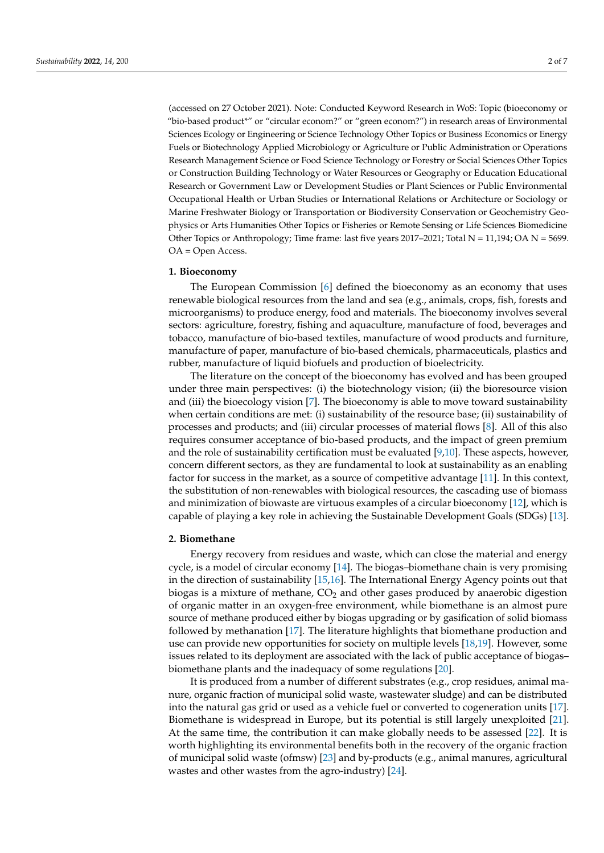(accessed on 27 October 2021). Note: Conducted Keyword Research in WoS: Topic (bioeconomy or "bio-based product\*" or "circular econom?" or "green econom?") in research areas of Environmental Sciences Ecology or Engineering or Science Technology Other Topics or Business Economics or Energy Fuels or Biotechnology Applied Microbiology or Agriculture or Public Administration or Operations Research Management Science or Food Science Technology or Forestry or Social Sciences Other Topics or Construction Building Technology or Water Resources or Geography or Education Educational Research or Government Law or Development Studies or Plant Sciences or Public Environmental Occupational Health or Urban Studies or International Relations or Architecture or Sociology or Marine Freshwater Biology or Transportation or Biodiversity Conservation or Geochemistry Geophysics or Arts Humanities Other Topics or Fisheries or Remote Sensing or Life Sciences Biomedicine Other Topics or Anthropology; Time frame: last five years 2017–2021; Total N = 11,194; OA N = 5699. OA = Open Access.

#### **1. Bioeconomy**

The European Commission [\[6\]](#page-5-3) defined the bioeconomy as an economy that uses renewable biological resources from the land and sea (e.g., animals, crops, fish, forests and microorganisms) to produce energy, food and materials. The bioeconomy involves several sectors: agriculture, forestry, fishing and aquaculture, manufacture of food, beverages and tobacco, manufacture of bio-based textiles, manufacture of wood products and furniture, manufacture of paper, manufacture of bio-based chemicals, pharmaceuticals, plastics and rubber, manufacture of liquid biofuels and production of bioelectricity.

The literature on the concept of the bioeconomy has evolved and has been grouped under three main perspectives: (i) the biotechnology vision; (ii) the bioresource vision and (iii) the bioecology vision [\[7\]](#page-5-4). The bioeconomy is able to move toward sustainability when certain conditions are met: (i) sustainability of the resource base; (ii) sustainability of processes and products; and (iii) circular processes of material flows [\[8\]](#page-5-5). All of this also requires consumer acceptance of bio-based products, and the impact of green premium and the role of sustainability certification must be evaluated [\[9](#page-6-0)[,10\]](#page-6-1). These aspects, however, concern different sectors, as they are fundamental to look at sustainability as an enabling factor for success in the market, as a source of competitive advantage [\[11\]](#page-6-2). In this context, the substitution of non-renewables with biological resources, the cascading use of biomass and minimization of biowaste are virtuous examples of a circular bioeconomy [\[12\]](#page-6-3), which is capable of playing a key role in achieving the Sustainable Development Goals (SDGs) [\[13\]](#page-6-4).

#### **2. Biomethane**

Energy recovery from residues and waste, which can close the material and energy cycle, is a model of circular economy [\[14\]](#page-6-5). The biogas–biomethane chain is very promising in the direction of sustainability [\[15](#page-6-6)[,16\]](#page-6-7). The International Energy Agency points out that biogas is a mixture of methane,  $CO<sub>2</sub>$  and other gases produced by anaerobic digestion of organic matter in an oxygen-free environment, while biomethane is an almost pure source of methane produced either by biogas upgrading or by gasification of solid biomass followed by methanation [\[17\]](#page-6-8). The literature highlights that biomethane production and use can provide new opportunities for society on multiple levels [\[18](#page-6-9)[,19\]](#page-6-10). However, some issues related to its deployment are associated with the lack of public acceptance of biogas– biomethane plants and the inadequacy of some regulations [\[20\]](#page-6-11).

It is produced from a number of different substrates (e.g., crop residues, animal manure, organic fraction of municipal solid waste, wastewater sludge) and can be distributed into the natural gas grid or used as a vehicle fuel or converted to cogeneration units [\[17\]](#page-6-8). Biomethane is widespread in Europe, but its potential is still largely unexploited [\[21\]](#page-6-12). At the same time, the contribution it can make globally needs to be assessed [\[22\]](#page-6-13). It is worth highlighting its environmental benefits both in the recovery of the organic fraction of municipal solid waste (ofmsw) [\[23\]](#page-6-14) and by-products (e.g., animal manures, agricultural wastes and other wastes from the agro-industry) [\[24\]](#page-6-15).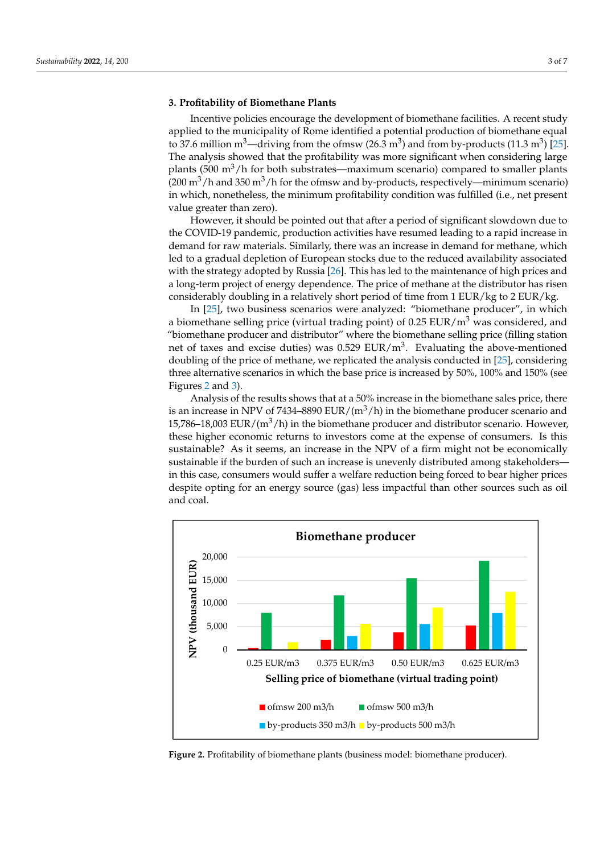#### **3. Profitability of Biomethane Plants**

Incentive policies encourage the development of biomethane facilities. A recent study applied to the municipality of Rome identified a potential production of biomethane equal to 37.6 million m<sup>3</sup>—driving from the ofmsw (26.3 m<sup>3</sup>) and from by-products (11.3 m<sup>3</sup>) [\[25\]](#page-6-16). The analysis showed that the profitability was more significant when considering large plants (500 m<sup>3</sup>/h for both substrates—maximum scenario) compared to smaller plants  $(200 \text{ m}^3/h$  and 350 m<sup>3</sup>/h for the ofmsw and by-products, respectively—minimum scenario) in which, nonetheless, the minimum profitability condition was fulfilled (i.e., net present value greater than zero).

However, it should be pointed out that after a period of significant slowdown due to the COVID-19 pandemic, production activities have resumed leading to a rapid increase in demand for raw materials. Similarly, there was an increase in demand for methane, which led to a gradual depletion of European stocks due to the reduced availability associated with the strategy adopted by Russia [\[26\]](#page-6-17). This has led to the maintenance of high prices and a long-term project of energy dependence. The price of methane at the distributor has risen considerably doubling in a relatively short period of time from 1 EUR/kg to 2 EUR/kg.

In [\[25\]](#page-6-16), two business scenarios were analyzed: "biomethane producer", in which a biomethane selling price (virtual trading point) of 0.25 EUR/m<sup>3</sup> was considered, and "biomethane producer and distributor" where the biomethane selling price (filling station net of taxes and excise duties) was  $0.529$  EUR/m<sup>3</sup>. Evaluating the above-mentioned doubling of the price of methane, we replicated the analysis conducted in [\[25\]](#page-6-16), considering three alternative scenarios in which the base price is increased by 50%, 100% and 150% (see three alternative scenarios in which the base price is increased by 50%, 100% and 150% (see Figures 2 and [3\)](#page-3-0). Figures 2 a[nd](#page-2-0) 3). The price of method of methods of methods of methods in a risen considerably doubling in a relatively doubling in a relatively doubling in a relatively doubling in a relatively doubling in a relatively d

Analysis of the results shows that at a 50% increase in the biomethane sales price, there is an increase in NPV of 7434–8890 EUR/ $(m^3/h)$  in the biomethane producer scenario and 15,786–18,003 EUR/ $(m^3/h)$  in the biomethane producer and distributor scenario. However, these higher economic returns to investors come at the expense of consumers. Is this trading point) and the newsletter and the expense of consumers. It is the sustainable? As it seems, an increase in the NPV of a firm might not be economically sustainable if the burden of such an increase is unevenly distributed among stakeholders in this case, consumers would suffer a welfare reduction being forced to bear higher prices despite opting for an energy source (gas) less impactful than other sources such as oil<br>and see **Figures** and coal.

<span id="page-2-0"></span>

**Figure 2.** Profitability of biomethane plants (business model: biomethane producer).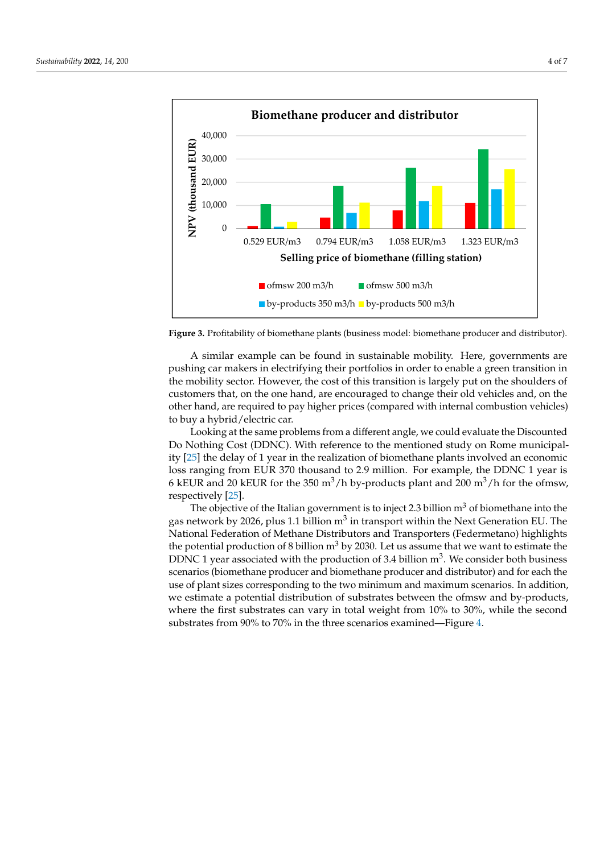<span id="page-3-0"></span>

Figure 3. Profitability of biomethane plants (business model: biomethane producer and distributor). tor).

pushing car makers in electrifying their portfolios in order to enable a green transition in the mobility sector. However, the cost of this transition is largely put on the shoulders of customers that, on the one hand, are encouraged to change their old vehicles and, on the other hand, are required to pay higher prices (compared with internal combustion vehicles) to buy a hybrid/electric car. The NPV of a firm might not be easily sus-A similar example can be found in sustainable mobility. Here, governments are

Looking at the same problems from a different angle, we could evaluate the Discounted Do Nothing Cost (DDNC). With reference to the mentioned study on Rome municipality [25] the delay of 1 year in the realization of biomethane plants involved an economic loss ranging from EUR 370 thousand to 2.9 million. For example, the DDNC 1 year is 6 kEUR and 20 kEUR for the 350 m<sup>3</sup>/h by-products plant and 200 m<sup>3</sup>/h for the ofmsw, ing care make  $[25]$ .

The objective of the Italian government is to inject 2.3 billion  $m^3$  of biomethane into the gas network by 2026, plus 1.1 billion m $^3$  in transport within the Next Generation EU. The National Federation of Methane Distributors and Transporters (Federmetano) highlights the potential production of 8 billion  $m<sup>3</sup>$  by 2030. Let us assume that we want to estimate the DDNC 1 year associated with the production of 3.4 billion  $m^3$ . We consider both business scenarios (biomethane producer and biomethane producer and distributor) and for each the use of plant sizes corresponding to the two minimum and maximum scenarios. In addition, we estimate a potential distribution of substrates between the ofmsw and by-products, where the first substrates can vary in total weight from 10% to 30%, while the second substrates from 90% to 70% in the three scenarios examined—Figure [4.](#page-4-0)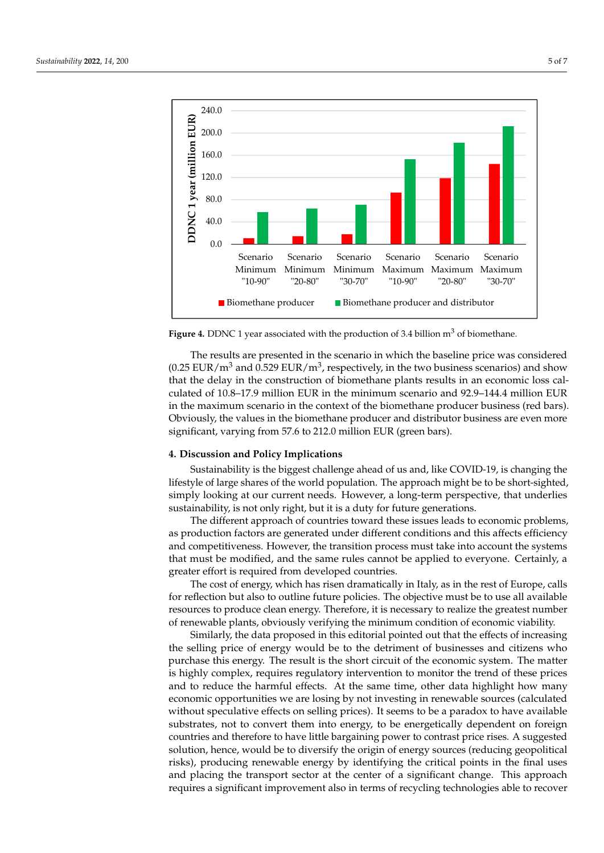<span id="page-4-0"></span>

Figure 4. DDNC 1 year associated with the production of 3.4 billion m<sup>3</sup> of biomethane.

The results are presented in the scenario in which the baseline price was considered (0.25 EUR/m<sup>3</sup> and 0.529 EUR/m<sup>3</sup>, respectively, in the two business scenarios) and show that the delay in the construction of biomethane plants results in an economic loss calculated of 10.8–17.9 million EUR in the minimum scenario and 92.9–144.4 million EUR in the maximum scenario in the context of the biomethane producer business (red bars). Obviously, the values in the biomethane producer and distributor business are even more significant, varying from 57.6 to 212.0 million EUR (green bars).

### **4. Discussion and Policy Implications**

substrates from 90% to 70% in the three scenarios examined—**Figure 4**.

Sustainability is the biggest challenge ahead of us and, like COVID-19, is changing the lifestyle of large shares of the world population. The approach might be to be short-sighted, simply looking at our current needs. However, a long-term perspective, that underlies sustainability, is not only right, but it is a duty for future generations.

The different approach of countries toward these issues leads to economic problems, as production factors are generated under different conditions and this affects efficiency and competitiveness. However, the transition process must take into account the systems that must be modified, and the same rules cannot be applied to everyone. Certainly, a greater effort is required from developed countries.

The cost of energy, which has risen dramatically in Italy, as in the rest of Europe, calls for reflection but also to outline future policies. The objective must be to use all available resources to produce clean energy. Therefore, it is necessary to realize the greatest number of renewable plants, obviously verifying the minimum condition of economic viability.

Similarly, the data proposed in this editorial pointed out that the effects of increasing the selling price of energy would be to the detriment of businesses and citizens who purchase this energy. The result is the short circuit of the economic system. The matter is highly complex, requires regulatory intervention to monitor the trend of these prices and to reduce the harmful effects. At the same time, other data highlight how many economic opportunities we are losing by not investing in renewable sources (calculated without speculative effects on selling prices). It seems to be a paradox to have available substrates, not to convert them into energy, to be energetically dependent on foreign countries and therefore to have little bargaining power to contrast price rises. A suggested solution, hence, would be to diversify the origin of energy sources (reducing geopolitical risks), producing renewable energy by identifying the critical points in the final uses and placing the transport sector at the center of a significant change. This approach requires a significant improvement also in terms of recycling technologies able to recover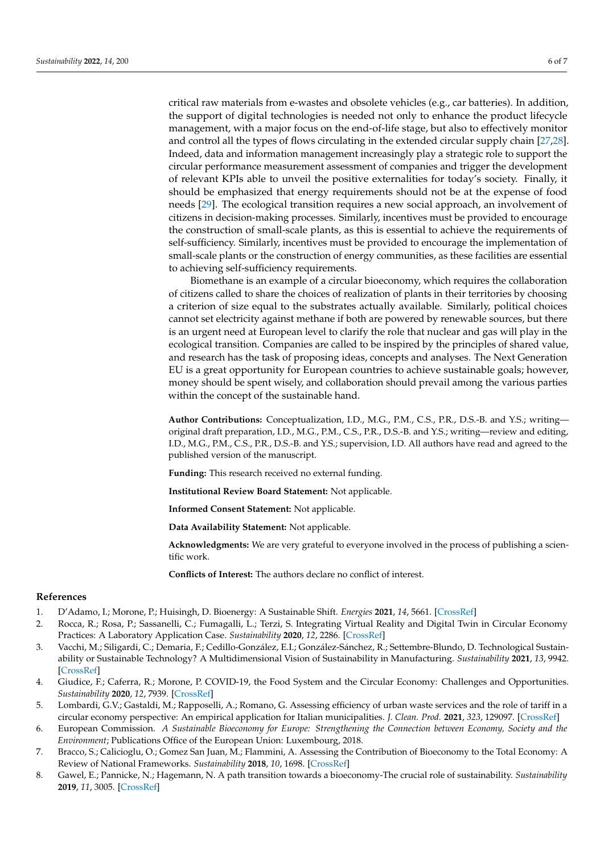critical raw materials from e-wastes and obsolete vehicles (e.g., car batteries). In addition, the support of digital technologies is needed not only to enhance the product lifecycle management, with a major focus on the end-of-life stage, but also to effectively monitor and control all the types of flows circulating in the extended circular supply chain [\[27,](#page-6-18)[28\]](#page-6-19). Indeed, data and information management increasingly play a strategic role to support the circular performance measurement assessment of companies and trigger the development of relevant KPIs able to unveil the positive externalities for today's society. Finally, it should be emphasized that energy requirements should not be at the expense of food needs [\[29\]](#page-6-20). The ecological transition requires a new social approach, an involvement of citizens in decision-making processes. Similarly, incentives must be provided to encourage the construction of small-scale plants, as this is essential to achieve the requirements of self-sufficiency. Similarly, incentives must be provided to encourage the implementation of small-scale plants or the construction of energy communities, as these facilities are essential to achieving self-sufficiency requirements.

Biomethane is an example of a circular bioeconomy, which requires the collaboration of citizens called to share the choices of realization of plants in their territories by choosing a criterion of size equal to the substrates actually available. Similarly, political choices cannot set electricity against methane if both are powered by renewable sources, but there is an urgent need at European level to clarify the role that nuclear and gas will play in the ecological transition. Companies are called to be inspired by the principles of shared value, and research has the task of proposing ideas, concepts and analyses. The Next Generation EU is a great opportunity for European countries to achieve sustainable goals; however, money should be spent wisely, and collaboration should prevail among the various parties within the concept of the sustainable hand.

**Author Contributions:** Conceptualization, I.D., M.G., P.M., C.S., P.R., D.S.-B. and Y.S.; writing original draft preparation, I.D., M.G., P.M., C.S., P.R., D.S.-B. and Y.S.; writing—review and editing, I.D., M.G., P.M., C.S., P.R., D.S.-B. and Y.S.; supervision, I.D. All authors have read and agreed to the published version of the manuscript.

**Funding:** This research received no external funding.

**Institutional Review Board Statement:** Not applicable.

**Informed Consent Statement:** Not applicable.

**Data Availability Statement:** Not applicable.

**Acknowledgments:** We are very grateful to everyone involved in the process of publishing a scientific work.

**Conflicts of Interest:** The authors declare no conflict of interest.

## **References**

- <span id="page-5-0"></span>1. D'Adamo, I.; Morone, P.; Huisingh, D. Bioenergy: A Sustainable Shift. *Energies* **2021**, *14*, 5661. [\[CrossRef\]](http://doi.org/10.3390/en14185661)
- <span id="page-5-1"></span>2. Rocca, R.; Rosa, P.; Sassanelli, C.; Fumagalli, L.; Terzi, S. Integrating Virtual Reality and Digital Twin in Circular Economy Practices: A Laboratory Application Case. *Sustainability* **2020**, *12*, 2286. [\[CrossRef\]](http://doi.org/10.3390/su12062286)
- 3. Vacchi, M.; Siligardi, C.; Demaria, F.; Cedillo-González, E.I.; González-Sánchez, R.; Settembre-Blundo, D. Technological Sustainability or Sustainable Technology? A Multidimensional Vision of Sustainability in Manufacturing. *Sustainability* **2021**, *13*, 9942. [\[CrossRef\]](http://doi.org/10.3390/su13179942)
- 4. Giudice, F.; Caferra, R.; Morone, P. COVID-19, the Food System and the Circular Economy: Challenges and Opportunities. *Sustainability* **2020**, *12*, 7939. [\[CrossRef\]](http://doi.org/10.3390/su12197939)
- <span id="page-5-2"></span>5. Lombardi, G.V.; Gastaldi, M.; Rapposelli, A.; Romano, G. Assessing efficiency of urban waste services and the role of tariff in a circular economy perspective: An empirical application for Italian municipalities. *J. Clean. Prod.* **2021**, *323*, 129097. [\[CrossRef\]](http://doi.org/10.1016/j.jclepro.2021.129097)
- <span id="page-5-3"></span>6. European Commission. *A Sustainable Bioeconomy for Europe: Strengthening the Connection between Economy, Society and the Environment*; Publications Office of the European Union: Luxembourg, 2018.
- <span id="page-5-4"></span>7. Bracco, S.; Calicioglu, O.; Gomez San Juan, M.; Flammini, A. Assessing the Contribution of Bioeconomy to the Total Economy: A Review of National Frameworks. *Sustainability* **2018**, *10*, 1698. [\[CrossRef\]](http://doi.org/10.3390/su10061698)
- <span id="page-5-5"></span>8. Gawel, E.; Pannicke, N.; Hagemann, N. A path transition towards a bioeconomy-The crucial role of sustainability. *Sustainability* **2019**, *11*, 3005. [\[CrossRef\]](http://doi.org/10.3390/su11113005)